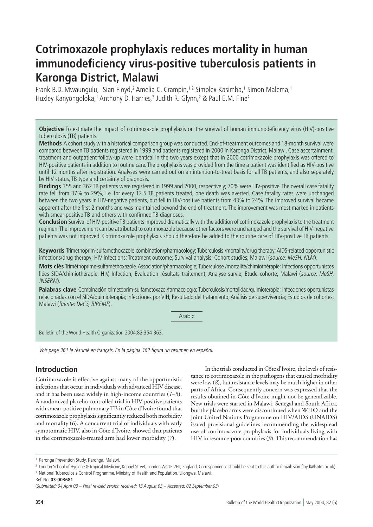# **Cotrimoxazole prophylaxis reduces mortality in human immunodeficiency virus-positive tuberculosis patients in Karonga District, Malawi**

Frank B.D. Mwaungulu,<sup>1</sup> Sian Floyd,<sup>2</sup> Amelia C. Crampin,<sup>1,2</sup> Simplex Kasimba,<sup>1</sup> Simon Malema,<sup>1</sup> Huxley Kanyongoloka,<sup>1</sup> Anthony D. Harries,<sup>3</sup> Judith R. Glynn,<sup>2</sup> & Paul E.M. Fine<sup>2</sup>

**Objective** To estimate the impact of cotrimoxazole prophylaxis on the survival of human immunodeficiency virus (HIV)-positive tuberculosis (TB) patients.

**Methods** A cohort study with a historical comparison group was conducted. End-of-treatment outcomes and 18-month survival were compared between TB patients registered in 1999 and patients registered in 2000 in Karonga District, Malawi. Case ascertainment, treatment and outpatient follow-up were identical in the two years except that in 2000 cotrimoxazole prophylaxis was offered to HIV-positive patients in addition to routine care. The prophylaxis was provided from the time a patient was identified as HIV-positive until 12 months after registration. Analyses were carried out on an intention-to-treat basis for all TB patients, and also separately by HIV status, TB type and certainty of diagnosis.

**Findings** 355 and 362 TB patients were registered in 1999 and 2000, respectively; 70% were HIV-positive. The overall case fatality rate fell from 37% to 29%, i.e. for every 12.5 TB patients treated, one death was averted. Case fatality rates were unchanged between the two years in HIV-negative patients, but fell in HIV-positive patients from 43% to 24%. The improved survival became apparent after the first 2 months and was maintained beyond the end of treatment. The improvement was most marked in patients with smear-positive TB and others with confirmed TB diagnoses.

**Conclusion** Survival of HIV-positive TB patients improved dramatically with the addition of cotrimoxazole prophylaxis to the treatment regimen. The improvement can be attributed to cotrimoxazole because other factors were unchanged and the survival of HIV-negative patients was not improved. Cotrimoxazole prophylaxis should therefore be added to the routine care of HIV-positive TB patients.

**Keywords** Trimethoprim-sulfamethoxazole combination/pharmacology; Tuberculosis /mortality/drug therapy; AIDS-related opportunistic infections/drug therapy; HIV infections; Treatment outcome; Survival analysis; Cohort studies; Malawi (source: MeSH, NLM).

**Mots clés** Triméthoprime-sulfaméthoxazole, Association/pharmacologie; Tuberculose /mortalité/chimiothérapie; Infections opportunistes liées SIDA/chimiothérapie; HIV, Infection; Evaluation résultats traitement; Analyse survie; Etude cohorte; Malawi (source: MeSH, INSERM).

**Palabras clave** Combinación trimetoprim-sulfametoxazol/farmacología; Tuberculosis/mortalidad/quimioterapia; Infecciones oportunistas relacionadas con el SIDA/quimioterapia; Infecciones por VIH; Resultado del tratamiento; Análisis de supervivencia; Estudios de cohortes; Malawi (fuente: DeCS, BIREME).

Arabic

Bulletin of the World Health Organization 2004;82:354-363.

Voir page 361 le résumé en français. En la página 362 figura un resumen en español.

# **Introduction**

Cotrimoxazole is effective against many of the opportunistic infections that occur in individuals with advanced HIV disease, and it has been used widely in high-income countries (*1–5*). A randomized placebo-controlled trial in HIV-positive patients with smear-positive pulmonary TB in Côte d'Ivoire found that cotrimoxazole prophylaxis significantly reduced both morbidity and mortality (*6*). A concurrent trial of individuals with early symptomatic HIV, also in Côte d'Ivoire, showed that patients in the cotrimoxazole-treated arm had lower morbidity (*7*).

In the trials conducted in Côte d'Ivoire, the levels of resistance to cotrimoxazole in the pathogens that caused morbidity were low (*8*), but resistance levels may be much higher in other parts of Africa. Consequently concern was expressed that the results obtained in Côte d'Ivoire might not be generalizable. New trials were started in Malawi, Senegal and South Africa, but the placebo arms were discontinued when WHO and the Joint United Nations Programme on HIV/AIDS (UNAIDS) issued provisional guidelines recommending the widespread use of cotrimoxazole prophylaxis for individuals living with HIV in resource-poor countries (*9*). This recommendation has

Ref. No. **03-003681**

<sup>1</sup> Karonga Prevention Study, Karonga, Malawi.

<sup>2</sup> London School of Hygiene & Tropical Medicine, Keppel Street, London WC1E 7HT, England. Correspondence should be sent to this author (email: sian.floyd@lshtm.ac.uk). 3 National Tuberculosis Control Programme, Ministry of Health and Population, Lilongwe, Malawi.

<sup>(</sup>Submitted: 04 April 03 – Final revised version received: 13 August 03 – Accepted: 02 September 03)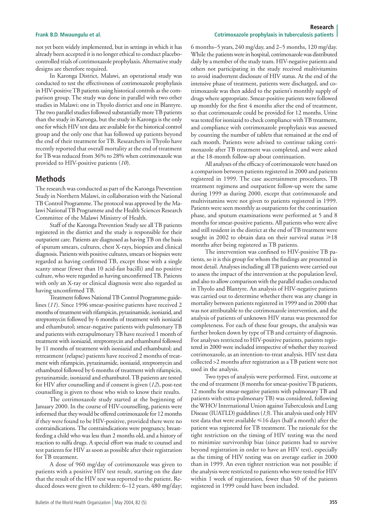### **Research Frank B.D. Mwaungulu et al. Cotrimoxazole prophylaxis in tuberculosis patients Cotrimoxazole prophylaxis in tuberculosis patients**

not yet been widely implemented, but in settings in which it has already been accepted it is no longer ethical to conduct placebocontrolled trials of cotrimoxazole prophylaxis. Alternative study designs are therefore required.

In Karonga District, Malawi, an operational study was conducted to test the effectiveness of cotrimoxazole prophylaxis in HIV-positive TB patients using historical controls as the comparison group. The study was done in parallel with two other studies in Malawi: one in Thyolo district and one in Blantyre. The two parallel studies followed substantially more TB patients than the study in Karonga, but the study in Karonga is the only one for which HIV test data are available for the historical control group and the only one that has followed up patients beyond the end of their treatment for TB. Researchers in Thyolo have recently reported that overall mortality at the end of treatment for TB was reduced from 36% to 28% when cotrimoxazole was provided to HIV-positive patients (*10*).

# **Methods**

The research was conducted as part of the Karonga Prevention Study in Northern Malawi, in collaboration with the National TB Control Programme. The protocol was approved by the Malawi National TB Programme and the Health Sciences Research Committee of the Malawi Ministry of Health.

Staff of the Karonga Prevention Study see all TB patients registered in the district and the study is responsible for their outpatient care. Patients are diagnosed as having TB on the basis of sputum smears, cultures, chest X-rays, biopsies and clinical diagnosis. Patients with positive cultures, smears or biopsies were regarded as having confirmed TB, except those with a single scanty smear (fewer than 10 acid-fast bacilli) and no positive culture, who were regarded as having unconfirmed TB. Patients with only an X-ray or clinical diagnosis were also regarded as having unconfirmed TB.

Treatment follows National TB Control Programme guidelines (*11*). Since 1996 smear-positive patients have received 2 months of treatment with rifampicin, pyrazinamide, isoniazid, and streptomycin followed by 6 months of treatment with isoniazid and ethambutol; smear-negative patients with pulmonary TB and patients with extrapulmonary TB have received 1 month of treatment with isoniazid, streptomycin and ethambutol followed by 11 months of treatment with isoniazid and ethambutol; and retreatment (relapse) patients have received 2 months of treatment with rifampicin, pyrazinamide, isoniazid, streptomycin and ethambutol followed by 6 months of treatment with rifampicin, pyrazinamide, isoniazid and ethambutol. TB patients are tested for HIV after counselling and if consent is given (*12*), post-test counselling is given to those who wish to know their results.

The cotrimoxazole study started at the beginning of January 2000. In the course of HIV-counselling, patients were informed that they would be offered cotrimoxazole for 12 months if they were found to be HIV-positive, provided there were no contraindications. The contraindications were pregnancy, breastfeeding a child who was less than 2 months old, and a history of reaction to sulfa drugs. A special effort was made to counsel and test patients for HIV as soon as possible after their registration for TB treatment.

A dose of 960 mg/day of cotrimoxazole was given to patients with a positive HIV test result, starting on the date that the result of the HIV test was reported to the patient. Reduced doses were given to children: 6–12 years, 480 mg/day;

6 months–5 years, 240 mg/day, and 2–5 months, 120 mg/day. While the patients were in hospital, cotrimoxazole was distributed daily by a member of the study team. HIV-negative patients and others not participating in the study received multivitamins to avoid inadvertent disclosure of HIV status. At the end of the intensive phase of treatment, patients were discharged, and cotrimoxazole was then added to the patient's monthly supply of drugs where appropriate. Smear-positive patients were followed up monthly for the first 4 months after the end of treatment, so that cotrimoxazole could be provided for 12 months. Urine was tested for isoniazid to check compliance with TB treatment, and compliance with cotrimoxazole prophylaxis was assessed by counting the number of tablets that remained at the end of each month. Patients were advised to continue taking cotrimoxazole after TB treatment was completed, and were asked at the 18-month follow-up about continuation.

All analyses of the efficacy of cotrimoxazole were based on a comparison between patients registered in 2000 and patients registered in 1999. The case ascertainment procedures, TB treatment regimens and outpatient follow-up were the same during 1999 as during 2000, except that cotrimoxazole and multivitamins were not given to patients registered in 1999. Patients were seen monthly as outpatients for the continuation phase, and sputum examinations were performed at 5 and 8 months for smear-positive patients. All patients who were alive and still resident in the district at the end of TB treatment were sought in 2002 to obtain data on their survival status  $\geq 18$ months after being registered as TB patients.

The intervention was confined to HIV-positive TB patients, so it is this group for whom the findings are presented in most detail. Analyses including all TB patients were carried out to assess the impact of the intervention at the population level, and also to allow comparison with the parallel studies conducted in Thyolo and Blantyre. An analysis of HIV-negative patients was carried out to determine whether there was any change in mortality between patients registered in 1999 and in 2000 that was not attributable to the cotrimoxazole intervention, and the analysis of patients of unknown HIV status was presented for completeness. For each of these four groups, the analysis was further broken down by type of TB and certainty of diagnosis. For analyses restricted to HIV-positive patients, patients registered in 2000 were included irrespective of whether they received cotrimoxazole, as an intention-to-treat analysis. HIV test data collected >2 months after registration as a TB patient were not used in the analysis.

Two types of analysis were performed. First, outcome at the end of treatment (8 months for smear-positive TB patients, 12 months for smear-negative patients with pulmonary TB and patients with extra-pulmonary TB) was considered, following the WHO/ International Union against Tuberculosis and Lung Disease (IUATLD) guidelines (*13*). This analysis used only HIV test data that were available  $\leq 16$  days (half a month) after the patient was registered for TB treatment. The rationale for the tight restriction on the timing of HIV testing was the need to minimize survivorship bias (since patients had to survive beyond registration in order to have an HIV test), especially as the timing of HIV testing was on average earlier in 2000 than in 1999. An even tighter restriction was not possible: if the analysis were restricted to patients who were tested for HIV within 1 week of registration, fewer than 50 of the patients registered in 1999 could have been included.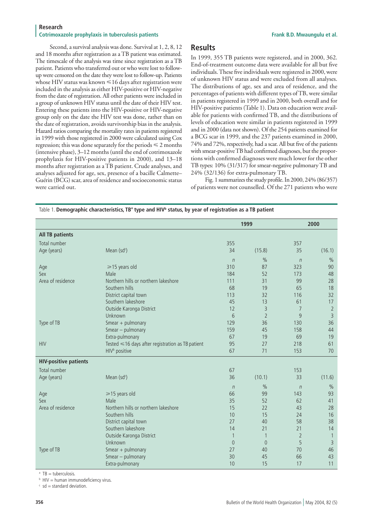### **Research Cotrimoxazole prophylaxis in tuberculosis patients Frank B.D. Mwaungulu et al. Frank B.D. Mwaungulu et al.**

Second, a survival analysis was done. Survival at 1, 2, 8, 12 and 18 months after registration as a TB patient was estimated. The timescale of the analysis was time since registration as a TB patient. Patients who transferred out or who were lost to followup were censored on the date they were lost to follow-up. Patients whose HIV status was known  $\leq 16$  days after registration were included in the analysis as either HIV-positive or HIV-negative from the date of registration. All other patients were included in a group of unknown HIV status until the date of their HIV test. Entering these patients into the HIV-positive or HIV-negative group only on the date the HIV test was done, rather than on the date of registration, avoids survivorship bias in the analysis. Hazard ratios comparing the mortality rates in patients registered in 1999 with those registered in 2000 were calculated using Cox regression; this was done separately for the periods  $\leq 2$  months (intensive phase), 3–12 months (until the end of cotrimoxazole prophylaxis for HIV-positive patients in 2000), and 13–18 months after registration as a TB patient. Crude analyses, and analyses adjusted for age, sex, presence of a bacille Calmette– Guérin (BCG) scar, area of residence and socioeconomic status were carried out.

# **Results**

In 1999, 355 TB patients were registered, and in 2000, 362. End-of-treatment outcome data were available for all but five individuals. These five individuals were registered in 2000, were of unknown HIV status and were excluded from all analyses. The distributions of age, sex and area of residence, and the percentages of patients with different types of TB, were similar in patients registered in 1999 and in 2000, both overall and for HIV-positive patients (Table 1). Data on education were available for patients with confirmed TB, and the distributions of levels of education were similar in patients registered in 1999 and in 2000 (data not shown). Of the 254 patients examined for a BCG scar in 1999, and the 237 patients examined in 2000, 74% and 72%, respectively, had a scar. All but five of the patients with smear-positive TB had confirmed diagnoses, but the proportions with confirmed diagnoses were much lower for the other TB types: 10% (31/317) for smear-negative pulmonary TB and 24% (32/136) for extra-pulmonary TB.

Fig. 1 summarizes the study profile. In 2000, 24% (86/357) of patients were not counselled. Of the 271 patients who were

| Table 1. Demographic characteristics, TB <sup>a</sup> type and HIV <sup>b</sup> status, by year of registration as a TB patient |  |  |
|---------------------------------------------------------------------------------------------------------------------------------|--|--|
|                                                                                                                                 |  |  |

|                              |                                                        |               | 1999           | 2000           |                |  |
|------------------------------|--------------------------------------------------------|---------------|----------------|----------------|----------------|--|
| <b>All TB patients</b>       |                                                        |               |                |                |                |  |
| Total number                 |                                                        | 355           |                | 357            |                |  |
| Age (years)                  | Mean (sd <sup>c</sup> )                                | 34            | (15.8)         | 35             | (16.1)         |  |
|                              |                                                        |               | $\frac{0}{0}$  |                |                |  |
|                              |                                                        | $\eta$<br>310 | 87             | $\eta$<br>323  | $\%$<br>90     |  |
| Age<br>Sex                   | ≥15 years old<br>Male                                  | 184           | 52             | 173            | 48             |  |
| Area of residence            | Northern hills or northern lakeshore                   | 111           | 31             | 99             | 28             |  |
|                              | Southern hills                                         | 68            | 19             | 65             | 18             |  |
|                              | District capital town                                  | 113           | 32             | 116            | 32             |  |
|                              | Southern lakeshore                                     | 45            | 13             | 61             | 17             |  |
|                              | Outside Karonga District                               | 12            | $\overline{3}$ | 7              | $\overline{2}$ |  |
|                              | Unknown                                                | 6             | $\overline{2}$ | 9              | $\overline{3}$ |  |
| Type of TB                   | Smear + pulmonary                                      | 129           | 36             | 130            | 36             |  |
|                              | Smear - pulmonary                                      | 159           | 45             | 158            | 44             |  |
|                              | Extra-pulmonary                                        | 67            | 19             | 69             | 19             |  |
| <b>HIV</b>                   | Tested $\leq 16$ days after registration as TB patient | 95            | 27             | 218            | 61             |  |
|                              | HIV <sup>b</sup> positive                              | 67            | 71             | 153            | 70             |  |
| <b>HIV-positive patients</b> |                                                        |               |                |                |                |  |
| Total number                 |                                                        | 67            |                | 153            |                |  |
| Age (years)                  | Mean (sd <sup>c</sup> )                                | 36            | (10.1)         | 33             | (11.6)         |  |
|                              |                                                        | $\eta$        | $\frac{0}{0}$  | $\sqrt{n}$     | $\%$           |  |
| Age                          | $\geq$ 15 years old                                    | 66            | 99             | 143            | 93             |  |
| Sex                          | Male                                                   | 35            | 52             | 62             | 41             |  |
| Area of residence            | Northern hills or northern lakeshore                   | 15            | 22             | 43             | 28             |  |
|                              | Southern hills                                         | 10            | 15             | 24             | 16             |  |
|                              | District capital town                                  | 27            | 40             | 58             | 38             |  |
|                              | Southern lakeshore                                     | 14            | 21             | 21             | 14             |  |
|                              | Outside Karonga District                               | $\mathbf{1}$  | $\mathbf{1}$   | $\overline{2}$ | $\mathbf{1}$   |  |
|                              | Unknown                                                | $\theta$      | $\theta$       | 5              | $\overline{3}$ |  |
| Type of TB                   | Smear + pulmonary                                      | 27            | 40             | 70             | 46             |  |
|                              | Smear - pulmonary                                      | 30            | 45             | 66             | 43             |  |
|                              | Extra-pulmonary                                        | 10            | 15             | 17             | 11             |  |

<sup>a</sup> TB = tuberculosis.

**b** HIV = human immunodeficiency virus.

 $c$  sd = standard deviation.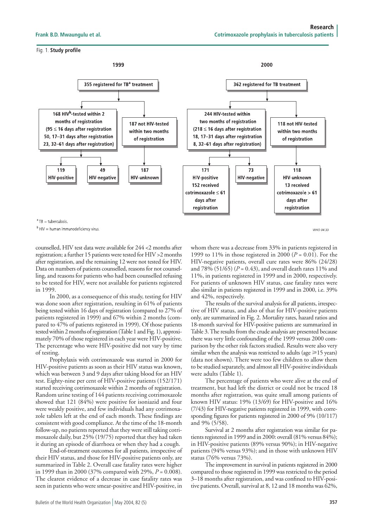### Fig. 1. Study profile



 $b$  HIV = human immunodeficiency virus

counselled, HIV test data were available for 244 <2 months after registration; a further 15 patients were tested for HIV >2 months after registration, and the remaining 12 were not tested for HIV. Data on numbers of patients counselled, reasons for not counselling, and reasons for patients who had been counselled refusing to be tested for HIV, were not available for patients registered in 1999.

In 2000, as a consequence of this study, testing for HIV was done soon after registration, resulting in 61% of patients being tested within 16 days of registration (compared to 27% of patients registered in 1999) and 67% within 2 months (compared to 47% of patients registered in 1999). Of those patients tested within 2 months of registration (Table 1 and Fig. 1), approximately 70% of those registered in each year were HIV-positive. The percentage who were HIV-positive did not vary by time of testing.

Prophylaxis with cotrimoxazole was started in 2000 for HIV-positive patients as soon as their HIV status was known, which was between 3 and 9 days after taking blood for an HIV test. Eighty-nine per cent of HIV-positive patients (152/171) started receiving cotrimoxazole within 2 months of registration. Random urine testing of 144 patients receiving cotrimoxazole showed that 121 (84%) were positive for isoniazid and four were weakly positive, and few individuals had any cotrimoxazole tablets left at the end of each month. These findings are consistent with good compliance. At the time of the 18-month follow-up, no patients reported that they were still taking cotrimoxazole daily, but 25% (19/75) reported that they had taken it during an episode of diarrhoea or when they had a cough.

End-of-treatment outcomes for all patients, irrespective of their HIV status, and those for HIV-positive patients only, are summarized in Table 2. Overall case fatality rates were higher in 1999 than in 2000 (37% compared with 29%, *P* = 0.008). The clearest evidence of a decrease in case fatality rates was seen in patients who were smear-positive and HIV-positive, in whom there was a decrease from 33% in patients registered in 1999 to 11% in those registered in 2000 (*P* = 0.01). For the HIV-negative patients, overall cure rates were 86% (24/28) and 78% (51/65) (*P* = 0.43), and overall death rates 11% and 11%, in patients registered in 1999 and in 2000, respectively. For patients of unknown HIV status, case fatality rates were also similar in patients registered in 1999 and in 2000, i.e. 39% and 42%, respectively.

WHO 04.33

The results of the survival analysis for all patients, irrespective of HIV status, and also of that for HIV-positive patients only, are summarized in Fig. 2. Mortality rates, hazard ratios and 18-month survival for HIV-positive patients are summarized in Table 3. The results from the crude analysis are presented because there was very little confounding of the 1999 versus 2000 comparison by the other risk factors studied. Results were also very similar when the analysis was restricted to adults (age  $\geq 15$  years) (data not shown). There were too few children to allow them to be studied separately, and almost all HIV-positive individuals were adults (Table 1).

The percentage of patients who were alive at the end of treatment, but had left the district or could not be traced 18 months after registration, was quite small among patients of known HIV status: 19% (13/69) for HIV-positive and 16% (7/43) for HIV-negative patients registered in 1999, with corresponding figures for patients registered in 2000 of 9% (10/117) and 9% (5/58).

Survival at 2 months after registration was similar for patients registered in 1999 and in 2000: overall (81% versus 84%); in HIV-positive patients (89% versus 90%); in HIV-negative patients (94% versus 93%); and in those with unknown HIV status (76% versus 73%).

The improvement in survival in patients registered in 2000 compared to those registered in 1999 was restricted to the period 3–18 months after registration, and was confined to HIV-positive patients. Overall, survival at 8, 12 and 18 months was 62%,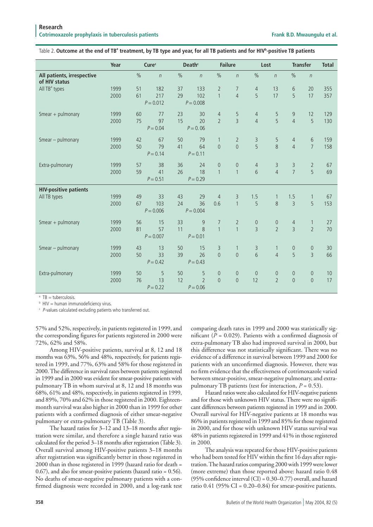### Table 2. Outcome at the end of TBª treatment, by TB type and year, for all TB patients and for HIV<sup>b</sup>-positive TB patients

|                                             | Year |               | Cure <sup>c</sup>  | Death <sup>c</sup> |                              | <b>Failure</b>        |                   | Lost             |                   | <b>Transfer</b>       |                   | <b>Total</b> |
|---------------------------------------------|------|---------------|--------------------|--------------------|------------------------------|-----------------------|-------------------|------------------|-------------------|-----------------------|-------------------|--------------|
| All patients, irrespective<br>of HIV status |      | $\frac{0}{0}$ | $\eta$             | $\%$               | $\eta$                       | $\frac{0}{0}$         | $\eta$            | $\%$             | $\eta$            | $\%$                  | $\eta$            |              |
| All TB <sup>ª</sup> types                   | 1999 | 51            | 182                | 37                 | 133                          | $\overline{2}$        | $\overline{7}$    | $\overline{4}$   | 13                | 6                     | 20                | 355          |
|                                             | 2000 | 61            | 217<br>$P = 0.012$ | 29                 | 102<br>$P = 0.008$           | $\mathbf{1}$          | $\overline{4}$    | 5                | 17                | 5                     | 17                | 357          |
| Smear $+$ pulmonary                         | 1999 | 60            | 77                 | 23                 | 30                           | $\overline{4}$        | 5                 | $\overline{4}$   | 5                 | 9                     | 12                | 129          |
|                                             | 2000 | 75            | 97<br>$P = 0.04$   | 15                 | 20<br>$P = 0.06$             | $\overline{2}$        | $\overline{3}$    | $\overline{4}$   | 5                 | $\overline{4}$        | 5                 | 130          |
| Smear - pulmonary                           | 1999 | 42            | 67                 | 50                 | 79                           | $\mathbf{1}$          | $\overline{2}$    | 3                | 5                 | $\sqrt{4}$            | 6                 | 159          |
|                                             | 2000 | 50            | 79<br>$P = 0.14$   | 41                 | 64<br>$P = 0.11$             | $\overline{0}$        | $\mathbf 0$       | $\overline{5}$   | 8                 | $\overline{4}$        | $\overline{7}$    | 158          |
| Extra-pulmonary                             | 1999 | 57            | 38                 | 36                 | 24                           | $\overline{0}$        | $\mathbf 0$       | $\overline{4}$   | 3                 | 3                     | $\overline{2}$    | 67           |
|                                             | 2000 | 59            | 41<br>$P = 0.51$   | 26                 | 18<br>$P = 0.29$             | $\mathbf{1}$          | $\mathbf{1}$      | 6                | $\overline{4}$    | $\overline{7}$        | 5                 | 69           |
| <b>HIV-positive patients</b>                |      |               |                    |                    |                              |                       |                   |                  |                   |                       |                   |              |
| All TB types                                | 1999 | 49<br>67      | 33<br>103          | 43<br>24           | 29<br>36                     | $\overline{4}$<br>0.6 | 3<br>$\mathbf{1}$ | 1.5<br>5         | $\mathbf{1}$<br>8 | 1.5<br>$\overline{3}$ | $\mathbf{1}$<br>5 | 67<br>153    |
|                                             | 2000 |               | $P = 0.006$        |                    | $P = 0.004$                  |                       |                   |                  |                   |                       |                   |              |
| Smear $+$ pulmonary                         | 1999 | 56            | 15                 | 33                 | $\overline{9}$               | $\overline{7}$        | $\overline{2}$    | $\boldsymbol{0}$ | $\mathbf 0$       | $\overline{4}$        | $\mathbf{1}$      | 27           |
|                                             | 2000 | 81            | 57<br>$P = 0.007$  | 11                 | $\overline{8}$<br>$P = 0.01$ | $\mathbf{1}$          | $\mathbf{1}$      | $\overline{3}$   | $\overline{2}$    | $\overline{3}$        | $\overline{2}$    | 70           |
| Smear - pulmonary                           | 1999 | 43            | 13                 | 50                 | 15                           | 3                     | $\mathbf{1}$      | 3                | $\mathbf{1}$      | $\mathbf 0$           | $\mathbf 0$       | 30           |
|                                             | 2000 | 50            | 33<br>$P = 0.42$   | 39                 | 26<br>$P = 0.43$             | $\overline{0}$        | $\mathbf 0$       | $\overline{6}$   | $\overline{4}$    | 5                     | $\overline{3}$    | 66           |
| Extra-pulmonary                             | 1999 | 50            | 5                  | 50                 | 5                            | $\overline{0}$        | $\mathbf 0$       | $\theta$         | $\theta$          | $\theta$              | $\theta$          | 10           |
|                                             | 2000 | 76            | 13<br>$P = 0.22$   | 12                 | $\overline{2}$<br>$P = 0.06$ | $\overline{0}$        | $\mathbf 0$       | 12               | $\overline{2}$    | $\mathbf 0$           | $\mathbf 0$       | 17           |

<sup>a</sup> TB = tuberculosis.

 $b$  HIV = human immunodeficiency virus.

c P-values calculated excluding patients who transferred out.

57% and 52%, respectively, in patients registered in 1999, and the corresponding figures for patients registered in 2000 were 72%, 62% and 58%.

Among HIV-positive patients, survival at 8, 12 and 18 months was 63%, 56% and 48%, respectively, for patients registered in 1999, and 77%, 63% and 58% for those registered in 2000. The difference in survival rates between patients registered in 1999 and in 2000 was evident for smear-positive patients with pulmonary TB in whom survival at 8, 12 and 18 months was 68%, 61% and 48%, respectively, in patients registered in 1999, and 89%, 70% and 62% in those registered in 2000. Eighteenmonth survival was also higher in 2000 than in 1999 for other patients with a confirmed diagnosis of either smear-negative pulmonary or extra-pulmonary TB (Table 3).

The hazard ratios for 3–12 and 13–18 months after registration were similar, and therefore a single hazard ratio was calculated for the period 3–18 months after registration (Table 3). Overall survival among HIV-positive patients 3–18 months after registration was significantly better in those registered in 2000 than in those registered in 1999 (hazard ratio for death = 0.67), and also for smear-positive patients (hazard ratio = 0.56). No deaths of smear-negative pulmonary patients with a confirmed diagnosis were recorded in 2000, and a log-rank test comparing death rates in 1999 and 2000 was statistically significant (*P* = 0.029). Patients with a confirmed diagnosis of extra-pulmonary TB also had improved survival in 2000, but this difference was not statistically significant. There was no evidence of a difference in survival between 1999 and 2000 for patients with an unconfirmed diagnosis. However, there was no firm evidence that the effectiveness of cotrimoxazole varied between smear-positive, smear-negative pulmonary, and extrapulmonary TB patients (test for interaction, *P* = 0.53).

Hazard ratios were also calculated for HIV-negative patients and for those with unknown HIV status. There were no significant differences between patients registered in 1999 and in 2000. Overall survival for HIV-negative patients at 18 months was 86% in patients registered in 1999 and 85% for those registered in 2000, and for those with unknown HIV status survival was 48% in patients registered in 1999 and 41% in those registered in 2000.

The analysis was repeated for those HIV-positive patients who had been tested for HIV within the first 16 days after registration. The hazard ratios comparing 2000 with 1999 were lower (more extreme) than those reported above: hazard ratio 0.48 (95% confidence interval (CI) = 0.30–0.77) overall, and hazard ratio  $0.41$  (95% CI =  $0.20-0.84$ ) for smear-positive patients.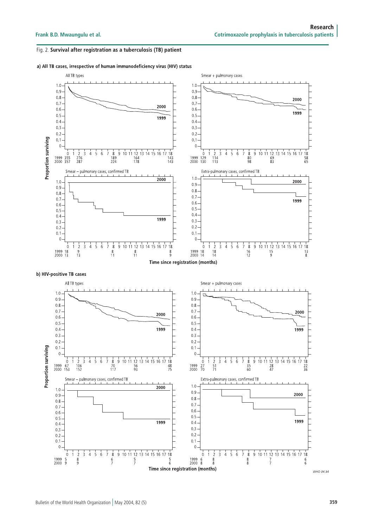## Fig. 2. Survival after registration as a tuberculosis (TB) patient

a) All TB cases, irrespective of human immunodeficiency virus (HIV) status

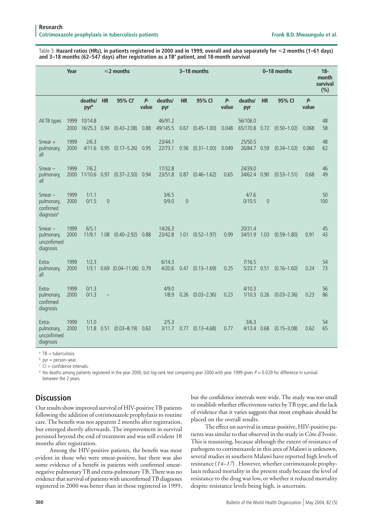Table 3. **Hazard ratios (HRs), in patients registered in 2000 and in 1999, overall and also separately for 2 months (1–61 days) and 3–18 months (62–547 days) after registration as a TB<sup>a</sup> patient, and 18-month survival**

|                                                                   | Year         |                         |                | $\leq$ 2 months        |               | 3-18 months         |                |                        | 0-18 months    |                           |           |                 | $18 -$<br>month<br>survival<br>(%) |           |
|-------------------------------------------------------------------|--------------|-------------------------|----------------|------------------------|---------------|---------------------|----------------|------------------------|----------------|---------------------------|-----------|-----------------|------------------------------------|-----------|
|                                                                   |              | deaths/<br>pyrb         | <b>HR</b>      | 95% CI <sup>c</sup>    | $P-$<br>value | deaths/<br>pyr      | <b>HR</b>      | 95% CI                 | $P -$<br>value | deaths/<br>pyr            | <b>HR</b> | 95% CI          | <b>P</b> -<br>value                |           |
| All TB types                                                      | 1999<br>2000 | 10/14.8<br>16/25.3 0.94 |                | $(0.43 - 2.08)$        | 0.88          | 46/91.2<br>49/145.5 | 0.67           | $(0.45 - 1.00)$        | 0.048          | 56/106.0<br>65/170.8 0.72 |           | $(0.50 - 1.02)$ | 0.068                              | 48<br>58  |
| Smear $+$<br>pulmonary,<br>all                                    | 1999<br>2000 | 2/6.3<br>4/11.6         | 0.95           | $(0.17 - 5.26)$        | 0.95          | 23/44.1<br>22/73.1  | 0.56           | $(0.31 - 1.00)$        | 0.049          | 25/50.5<br>26/84.7 0.59   |           | $(0.34 - 1.02)$ | 0.060                              | 48<br>62  |
| $S$ mear $-$<br>pulmonary,<br>all                                 | 1999<br>2000 | 7/6.2<br>11/10.6        | 0.97           | $(0.37 - 2.50)$        | 0.94          | 17/32.8<br>23/51.8  |                | $0.87$ $(0.46-1.62)$   | 0.65           | 24/39.0<br>34/62.4 0.90   |           | $(0.53 - 1.51)$ | 0.68                               | 46<br>49  |
| $S$ mear $-$<br>pulmonary,<br>confirmed<br>diagnosis <sup>d</sup> | 1999<br>2000 | 1/1.1<br>0/1.5          | $\overline{0}$ |                        |               | 3/6.5<br>0/9.0      | $\overline{0}$ |                        |                | 4/7.6<br>0/10.5           | $\theta$  |                 |                                    | 50<br>100 |
| $S$ mear $-$<br>pulmonary,<br>unconfirmed<br>diagnosis            | 1999<br>2000 | 6/5.1<br>11/9.1         | 1.08           | $(0.40 - 2.92)$        | 0.88          | 14/26.3<br>23/42.8  |                | $1.01$ $(0.52 - 1.97)$ | 0.99           | 20/31.4<br>34/51.9        | 1.03      | $(0.59 - 1.80)$ | 0.91                               | 45<br>43  |
| Extra-<br>pulmonary,<br>all                                       | 1999<br>2000 | 1/2.3<br>1/3.1          |                | 0.69 (0.04-11.06) 0.79 |               | 6/14.3<br>4/20.6    | 0.47           | $(0.13 - 1.69)$        | 0.25           | 7/16.5<br>5/23.7 0.51     |           | $(0.16 - 1.60)$ | 0.24                               | 54<br>73  |
| Extra-<br>pulmonary,<br>confirmed<br>diagnosis                    | 1999<br>2000 | 0/1.3<br>0/1.3          |                |                        |               | 4/9.0<br>1/8.9      | 0.26           | $(0.03 - 2.36)$        | 0.23           | 4/10.3<br>1/10.3          | 0.26      | $(0.03 - 2.36)$ | 0.23                               | 56<br>86  |
| Extra-<br>pulmonary,<br>unconfirmed<br>diagnosis                  | 1999<br>2000 | 1/1.0<br>1/1.8          | 0.51           | $(0.03 - 8.19)$        | 0.63          | 2/5.3<br>3/11.7     | 0.77           | $(0.13 - 4.68)$        | 0.77           | 3/6.3<br>4/13.4           | 0.68      | $(0.15 - 3.08)$ | 0.62                               | 54<br>65  |

<sup>a</sup> TB = tuberculosis.

<sup>b</sup> pyr = person-year.

 $\epsilon$  CI = confidence intervals.

 $^{\rm d}$  No deaths among patients registered in the year 2000, but log-rank test comparing year 2000 with year 1999 gives P  $=$  0.029 for difference in survival between the 2 years.

# **Discussion**

Our results show improved survival of HIV-positive TB patients following the addition of cotrimoxazole prophylaxis to routine care. The benefit was not apparent 2 months after registration, but emerged shortly afterwards. The improvement in survival persisted beyond the end of treatment and was still evident 18 months after registration.

Among the HIV-positive patients, the benefit was most evident in those who were smear-positive, but there was also some evidence of a benefit in patients with confirmed smearnegative pulmonary TB and extra-pulmonary TB. There was no evidence that survival of patients with unconfirmed TB diagnoses registered in 2000 was better than in those registered in 1999, but the confidence intervals were wide. The study was too small to establish whether effectiveness varies by TB type, and the lack of evidence that it varies suggests that most emphasis should be placed on the overall results.

The effect on survival in smear-positive, HIV-positive patients was similar to that observed in the study in Côte d'Ivoire. This is reassuring, because although the extent of resistance of pathogens to cotrimoxazole in this area of Malawi is unknown, several studies in southern Malawi have reported high levels of resistance (*14–17*) . However, whether cotrimoxazole prophylaxis reduced mortality in the present study because the level of resistance to the drug was low, or whether it reduced mortality despite resistance levels being high, is uncertain.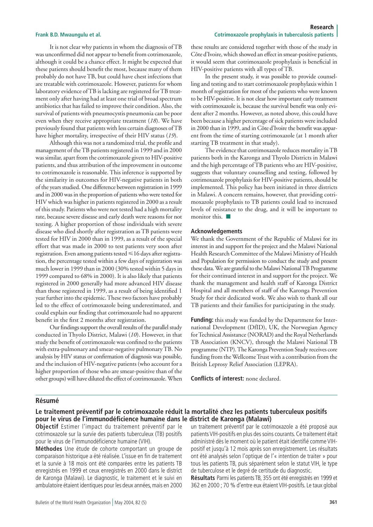It is not clear why patients in whom the diagnosis of TB was unconfirmed did not appear to benefit from cotrimoxazole, although it could be a chance effect. It might be expected that these patients should benefit the most, because many of them probably do not have TB, but could have chest infections that are treatable with cotrimoxazole. However, patients for whom laboratory evidence of TB is lacking are registered for TB treatment only after having had at least one trial of broad spectrum antibiotics that has failed to improve their condition. Also, the survival of patients with pneumocystis pneumonia can be poor even when they receive appropriate treatment (*18*). We have previously found that patients with less certain diagnoses of TB have higher mortality, irrespective of their HIV status (*19*).

Although this was not a randomized trial, the profile and management of the TB patients registered in 1999 and in 2000 was similar, apart from the cotrimoxazole given to HIV-positive patients, and thus attribution of the improvement in outcome to cotrimoxazole is reasonable. This inference is supported by the similarity in outcomes for HIV-negative patients in both of the years studied. One difference between registration in 1999 and in 2000 was in the proportion of patients who were tested for HIV which was higher in patients registered in 2000 as a result of this study. Patients who were not tested had a high mortality rate, because severe disease and early death were reasons for not testing. A higher proportion of those individuals with severe disease who died shortly after registration as TB patients were tested for HIV in 2000 than in 1999, as a result of the special effort that was made in 2000 to test patients very soon after registration. Even among patients tested  $\leq 16$  days after registration, the percentage tested within a few days of registration was much lower in 1999 than in 2000 (30% tested within 5 days in 1999 compared to 68% in 2000). It is also likely that patients registered in 2000 generally had more advanced HIV disease than those registered in 1999, as a result of being identified 1 year further into the epidemic. These two factors have probably led to the effect of cotrimoxazole being underestimated, and could explain our finding that cotrimoxazole had no apparent benefit in the first 2 months after registration.

Our findings support the overall results of the parallel study conducted in Thyolo District, Malawi (*10*). However, in that study the benefit of cotrimoxazole was confined to the patients with extra-pulmonary and smear-negative pulmonary TB. No analysis by HIV status or confirmation of diagnosis was possible, and the inclusion of HIV-negative patients (who account for a higher proportion of those who are smear-positive than of the other groups) will have diluted the effect of cotrimoxazole. When these results are considered together with those of the study in Côte d'Ivoire, which showed an effect in smear-positive patients, it would seem that cotrimoxazole prophylaxis is beneficial in HIV-positive patients with all types of TB.

In the present study, it was possible to provide counselling and testing and to start cotrimoxazole prophylaxis within 1 month of registration for most of the patients who were known to be HIV-positive. It is not clear how important early treatment with cotrimoxazole is, because the survival benefit was only evident after 2 months. However, as noted above, this could have been because a higher percentage of sick patients were included in 2000 than in 1999, and in Côte d'Ivoire the benefit was apparent from the time of starting cotrimoxazole (at 1 month after starting TB treatment in that study).

The evidence that cotrimoxazole reduces mortality in TB patients both in the Karonga and Thyolo Districts in Malawi and the high percentage of TB patients who are HIV-positive, suggests that voluntary counselling and testing, followed by cotrimoxazole prophylaxis for HIV-positive patients, should be implemented. This policy has been initiated in three districts in Malawi. A concern remains, however, that providing cotrimoxazole prophylaxis to TB patients could lead to increased levels of resistance to the drug, and it will be important to monitor this.  $\blacksquare$ 

### **Acknowledgements**

We thank the Government of the Republic of Malawi for its interest in and support for the project and the Malawi National Health Research Committee of the Malawi Ministry of Health and Population for permission to conduct the study and present these data. We are grateful to the Malawi National TB Programme for their continued interest in and support for the project. We thank the management and health staff of Karonga District Hospital and all members of staff of the Karonga Prevention Study for their dedicated work. We also wish to thank all our TB patients and their families for participating in the study.

**Funding:** this study was funded by the Department for International Development (DfID), UK, the Norwegian Agency for Technical Assistance (NORAD) and the Royal Netherlands TB Association (KNCV), through the Malawi National TB programme (NTP). The Karonga Prevention Study receives core funding from the Wellcome Trust with a contribution from the British Leprosy Relief Association (LEPRA).

**Conflicts of interest:** none declared.

## **Résumé**

# **Le traitement préventif par le cotrimoxazole réduit la mortalité chez les patients tuberculeux positifs pour le virus de l'immunodéficience humaine dans le district de Karonga (Malawi)**

**Objectif** Estimer l'impact du traitement préventif par le cotrimoxazole sur la survie des patients tuberculeux (TB) positifs pour le virus de l'immunodéficience humaine (VIH).

**Méthodes** Une étude de cohorte comportant un groupe de comparaison historique a été réalisée. L'issue en fin de traitement et la survie à 18 mois ont été comparées entre les patients TB enregistrés en 1999 et ceux enregistrés en 2000 dans le district de Karonga (Malawi). Le diagnostic, le traitement et le suivi en ambulatoire étaient identiques pour les deux années, mais en 2000 un traitement préventif par le cotrimoxazole a été proposé aux patients VIH-positifs en plus des soins courants. Ce traitement était administré dès le moment où le patient était identifié comme VIHpositif et jusqu'à 12 mois après son enregistrement. Les résultats ont été analysés selon l'optique de l'« intention de traiter » pour tous les patients TB, puis séparément selon le statut VIH, le type de tuberculose et le degré de certitude du diagnostic.

**Résultats** Parmi les patients TB, 355 ont été enregistrés en 1999 et 362 en 2000 ; 70 % d'entre eux étaient VIH-positifs. Le taux global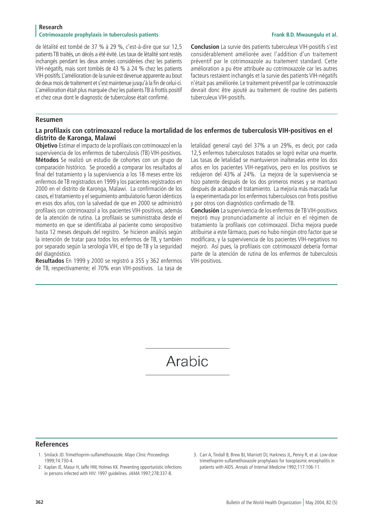## **Research** Cotrimoxazole prophylaxis in tuberculosis patients **Frank B.D. Mwaungulu et al. Frank B.D. Mwaungulu et al.**

de létalité est tombé de 37 % à 29 %, c'est-à-dire que sur 12,5 patients TB traités, un décès a été évité. Les taux de létalité sont restés inchangés pendant les deux années considérées chez les patients VIH-négatifs, mais sont tombés de 43 % à 24 % chez les patients VIH-positifs. L'amélioration de la survie est devenue apparente au bout de deux mois de traitement et s'est maintenue jusqu'à la fin de celui-ci. L'amélioration était plus marquée chez les patients TB à frottis positif et chez ceux dont le diagnostic de tuberculose était confirmé.

**Conclusion** La survie des patients tuberculeux VIH-positifs s'est considérablement améliorée avec l'addition d'un traitement préventif par le cotrimoxazole au traitement standard. Cette amélioration a pu être attribuée au cotrimoxazole car les autres facteurs restaient inchangés et la survie des patients VIH-négatifs n'était pas améliorée. Le traitement préventif par le cotrimoxazole devrait donc être ajouté au traitement de routine des patients tuberculeux VIH-positifs.

# **Resumen**

# **La profilaxis con cotrimoxazol reduce la mortalidad de los enfermos de tuberculosis VIH-positivos en el distrito de Karonga, Malawi**

**Objetivo** Estimar el impacto de la profilaxis con cotrimoxazol en la supervivencia de los enfermos de tuberculosis (TB) VIH-positivos. **Métodos** Se realizó un estudio de cohortes con un grupo de comparación histórico. Se procedió a comparar los resultados al final del tratamiento y la supervivencia a los 18 meses entre los enfermos de TB registrados en 1999 y los pacientes registrados en 2000 en el distrito de Karonga, Malawi. La confirmación de los casos, el tratamiento y el seguimiento ambulatorio fueron idénticos en esos dos años, con la salvedad de que en 2000 se administró profilaxis con cotrimoxazol a los pacientes VIH-positivos, además de la atención de rutina. La profilaxis se suministraba desde el momento en que se identificaba al paciente como seropositivo hasta 12 meses después del registro. Se hicieron análisis según la intención de tratar para todos los enfermos de TB, y también por separado según la serología VIH, el tipo de TB y la seguridad del diagnóstico.

**Resultados** En 1999 y 2000 se registró a 355 y 362 enfermos de TB, respectivamente; el 70% eran VIH-positivos. La tasa de

letalidad general cayó del 37% a un 29%, es decir, por cada 12,5 enfermos tuberculosos tratados se logró evitar una muerte. Las tasas de letalidad se mantuvieron inalteradas entre los dos años en los pacientes VIH-negativos, pero en los positivos se redujeron del 43% al 24%. La mejora de la supervivencia se hizo patente después de los dos primeros meses y se mantuvo después de acabado el tratamiento. La mejoría más marcada fue la experimentada por los enfermos tuberculosos con frotis positivo y por otros con diagnóstico confirmado de TB.

**Conclusión** La supervivencia de los enfermos de TB VIH-positivos mejoró muy pronunciadamente al incluir en el régimen de tratamiento la profilaxis con cotrimoxazol. Dicha mejora puede atribuirse a este fármaco, pues no hubo ningún otro factor que se modificara, y la supervivencia de los pacientes VIH-negativos no mejoró. Así pues, la profilaxis con cotrimoxazol debería formar parte de la atención de rutina de los enfermos de tuberculosis VIH-positivos.

Arabic

# **References**

- 1. Smilack JD. Trimethoprim-sulfamethoxazole. Mayo Clinic Proceedings 1999;74:730-4.
- 2. Kaplan JE, Masur H, Jaffe HW, Holmes KK. Preventing opportunistic infections in persons infected with HIV: 1997 guidelines. JAMA 1997;278:337-8.
- 3. Carr A, Tindall B, Brew BJ, Marriott DJ, Harkness JL, Penny R, et al. Low-dose trimethoprim-sulfamethoxazole prophylaxis for toxoplasmic encephalitis in patients with AIDS. Annals of Internal Medicine 1992;117:106-11.